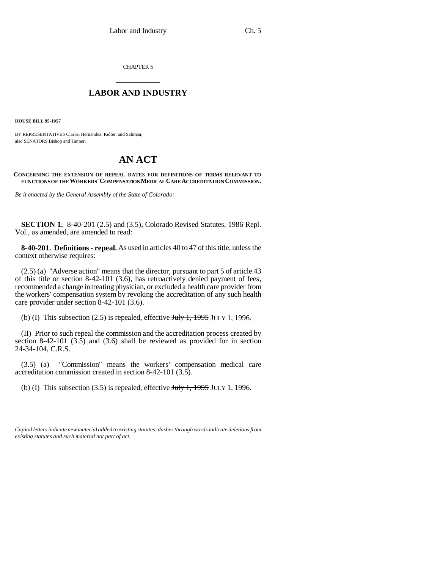CHAPTER 5

## \_\_\_\_\_\_\_\_\_\_\_\_\_\_\_ **LABOR AND INDUSTRY** \_\_\_\_\_\_\_\_\_\_\_\_\_\_\_

**HOUSE BILL 95-1057**

BY REPRESENTATIVES Clarke, Hernandez, Keller, and Saliman; also SENATORS Bishop and Tanner.

## **AN ACT**

## **CONCERNING THE EXTENSION OF REPEAL DATES FOR DEFINITIONS OF TERMS RELEVANT TO FUNCTIONS OF THE WORKERS'COMPENSATION MEDICAL CARE ACCREDITATION COMMISSION.**

*Be it enacted by the General Assembly of the State of Colorado:*

**SECTION 1.** 8-40-201 (2.5) and (3.5), Colorado Revised Statutes, 1986 Repl. Vol., as amended, are amended to read:

**8-40-201. Definitions - repeal.** As used in articles 40 to 47 of this title, unless the context otherwise requires:

(2.5) (a) "Adverse action" means that the director, pursuant to part 5 of article 43 of this title or section 8-42-101 (3.6), has retroactively denied payment of fees, recommended a change in treating physician, or excluded a health care provider from the workers' compensation system by revoking the accreditation of any such health care provider under section 8-42-101 (3.6).

(b) (I) This subsection  $(2.5)$  is repealed, effective July 1, 1995 JULY 1, 1996.

(II) Prior to such repeal the commission and the accreditation process created by section 8-42-101 (3.5) and (3.6) shall be reviewed as provided for in section 24-34-104, C.R.S.

(3.3) (a) Commission means the workers component commission created in section 8-42-101 (3.5). (3.5) (a) "Commission" means the workers' compensation medical care

(b) (I) This subsection  $(3.5)$  is repealed, effective  $J_{\text{t}}$   $J_{\text{t}}$   $J_{\text{t}}$   $J_{\text{t}}$   $J_{\text{t}}$   $J_{\text{t}}$   $J_{\text{t}}$   $J_{\text{t}}$   $J_{\text{t}}$   $J_{\text{t}}$   $J_{\text{t}}$   $J_{\text{t}}$   $J_{\text{t}}$   $J_{\text{t}}$   $J_{\text{t}}$   $J_{\text{t}}$   $J_{\text{$ 

*Capital letters indicate new material added to existing statutes; dashes through words indicate deletions from existing statutes and such material not part of act.*